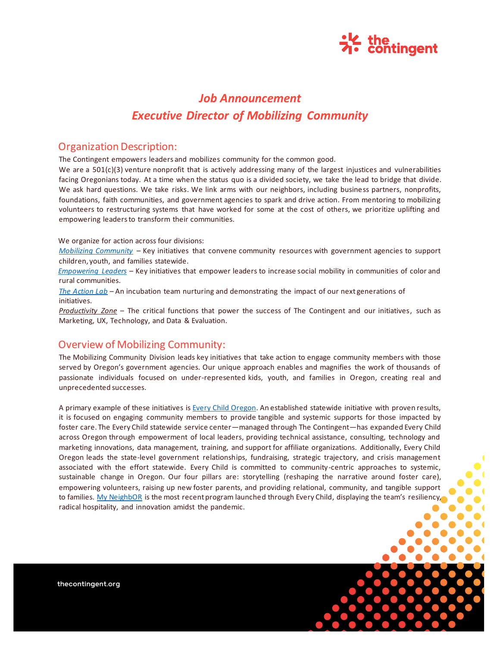

# *Job Announcement Executive Director of Mobilizing Community*

### Organization Description:

The Contingent empowers leaders and mobilizes community for the common good.

We are a 501(c)(3) venture nonprofit that is actively addressing many of the largest injustices and vulnerabilities facing Oregonians today. At a time when the status quo is a divided society, we take the lead to bridge that divide. We ask hard questions. We take risks. We link arms with our neighbors, including business partners, nonprofits, foundations, faith communities, and government agencies to spark and drive action. From mentoring to mobilizing volunteers to restructuring systems that have worked for some at the cost of others, we prioritize uplifting and empowering leaders to transform their communities.

We organize for action across four divisions:

*Mobilizing Community* – Key initiatives that convene community resources with government agencies to support children, youth, and families statewide.

*Empowering Leaders* – Key initiatives that empower leaders to increase social mobility in communities of color and rural communities.

*The Action Lab* – An incubation team nurturing and demonstrating the impact of our next generations of initiatives.

*Productivity Zone* – The critical functions that power the success of The Contingent and our initiatives, such as Marketing, UX, Technology, and Data & Evaluation.

## Overview of Mobilizing Community:

The Mobilizing Community Division leads key initiatives that take action to engage community members with those served by Oregon's government agencies. Our unique approach enables and magnifies the work of thousands of passionate individuals focused on under-represented kids, youth, and families in Oregon, creating real and unprecedented successes.

A primary example of these initiatives is Every Child Oregon. An established statewide initiative with proven results, it is focused on engaging community members to provide tangible and systemic supports for those impacted by foster care. The Every Child statewide service center—managed through The Contingent—has expanded Every Child across Oregon through empowerment of local leaders, providing technical assistance, consulting, technology and marketing innovations, data management, training, and support for affiliate organizations. Additionally, Every Child Oregon leads the state-level government relationships, fundraising, strategic trajectory, and crisis management associated with the effort statewide. Every Child is committed to community-centric approaches to systemic, sustainable change in Oregon. Our four pillars are: storytelling (reshaping the narrative around foster care), empowering volunteers, raising up new foster parents, and providing relational, community, and tangible support to families. My NeighbOR is the most recent program launched through Every Child, displaying the team's resiliency, radical hospitality, and innovation amidst the pandemic.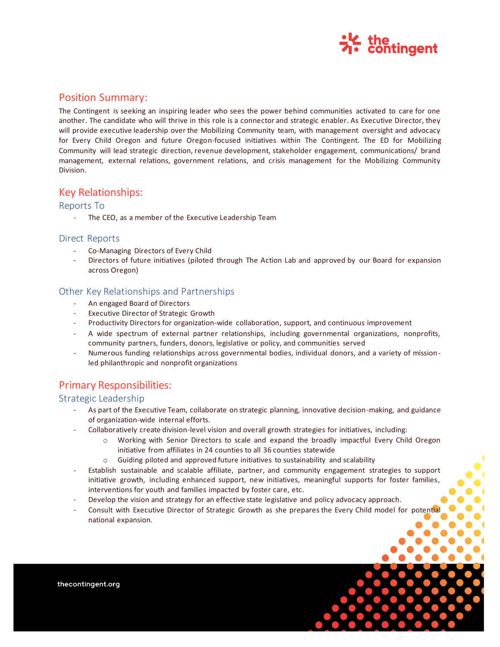

# Position Summary:

The Contingent is seeking an inspiring leader who sees the power behind communities activated to care for one another. The candidate who will thrive in this role is a connector and strategic enabler. As Executive Director, they will provide executive leadership over the Mobilizing Community team, with management oversight and advocacy for Every Child Oregon and future Oregon-focused initiatives within The Contingent. The ED for Mobilizing Community will lead strategic direction, revenue development, stakeholder engagement, communications/ brand management, external relations, government relations, and crisis management for the Mobilizing Community Division.

### Key Relationships:

#### Reports To

- The CEO, as a member of the Executive Leadership Team

#### Direct Reports

- Co-Managing Directors of Every Child
- Directors of future initiatives (piloted through The Action Lab and approved by our Board for expansion across Oregon)

### Other Key Relationships and Partnerships

- An engaged Board of Directors
- Executive Director of Strategic Growth
- Productivity Directors for organization-wide collaboration, support, and continuous improvement
- A wide spectrum of external partner relationships, including governmental organizations, nonprofits, community partners, funders, donors, legislative or policy, and communities served
- Numerous funding relationships across governmental bodies, individual donors, and a variety of missionled philanthropic and nonprofit organizations

# Primary Responsibilities:

#### Strategic Leadership

- As part of the Executive Team, collaborate on strategic planning, innovative decision-making, and guidance of organization-wide internal efforts.
- Collaboratively create division-level vision and overall growth strategies for initiatives, including:
	- o Working with Senior Directors to scale and expand the broadly impactful Every Child Oregon initiative from affiliates in 24 counties to all 36 counties statewide
	- $\circ$  Guiding piloted and approved future initiatives to sustainability and scalability
- Establish sustainable and scalable affiliate, partner, and community engagement strategies to support initiative growth, including enhanced support, new initiatives, meaningful supports for foster families, interventions for youth and families impacted by foster care, etc.
- Develop the vision and strategy for an effective state legislative and policy advocacy approach.
- Consult with Executive Director of Strategic Growth as she prepares the Every Child model for potential national expansion.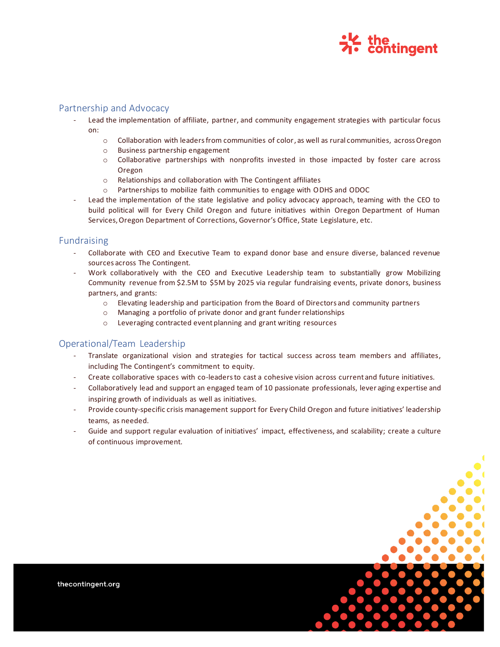

#### Partnership and Advocacy

- Lead the implementation of affiliate, partner, and community engagement strategies with particular focus on:
	- o Collaboration with leaders from communities of color, as well as rural communities, across Oregon
	- o Business partnership engagement
	- o Collaborative partnerships with nonprofits invested in those impacted by foster care across Oregon
	- o Relationships and collaboration with The Contingent affiliates
	- $\circ$  Partnerships to mobilize faith communities to engage with ODHS and ODOC
- Lead the implementation of the state legislative and policy advocacy approach, teaming with the CEO to build political will for Every Child Oregon and future initiatives within Oregon Department of Human Services, Oregon Department of Corrections, Governor's Office, State Legislature, etc.

#### Fundraising

- Collaborate with CEO and Executive Team to expand donor base and ensure diverse, balanced revenue sources across The Contingent.
- Work collaboratively with the CEO and Executive Leadership team to substantially grow Mobilizing Community revenue from \$2.5M to \$5M by 2025 via regular fundraising events, private donors, business partners, and grants:
	- o Elevating leadership and participation from the Board of Directors and community partners
	- $\circ$  Managing a portfolio of private donor and grant funder relationships
	- o Leveraging contracted event planning and grant writing resources

### Operational/Team Leadership

- Translate organizational vision and strategies for tactical success across team members and affiliates, including The Contingent's commitment to equity.
- Create collaborative spaces with co-leaders to cast a cohesive vision across current and future initiatives.
- Collaboratively lead and support an engaged team of 10 passionate professionals, lever aging expertise and inspiring growth of individuals as well as initiatives.
- Provide county-specific crisis management support for Every Child Oregon and future initiatives' leadership teams, as needed.
- Guide and support regular evaluation of initiatives' impact, effectiveness, and scalability; create a culture of continuous improvement.

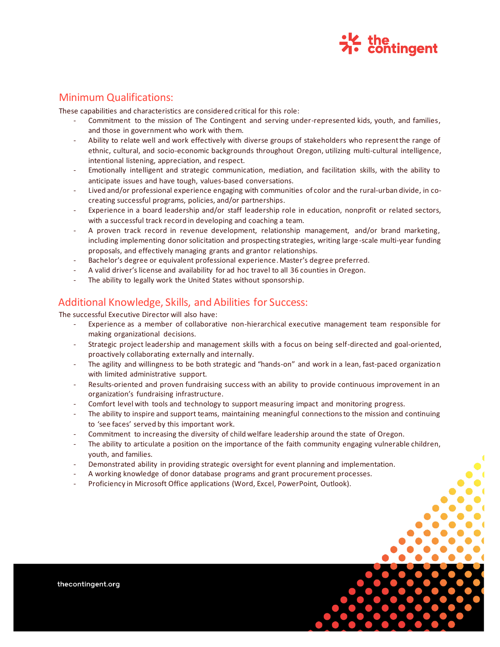

# Minimum Qualifications:

These capabilities and characteristics are considered critical for this role:

- Commitment to the mission of The Contingent and serving under-represented kids, youth, and families, and those in government who work with them.
- Ability to relate well and work effectively with diverse groups of stakeholders who represent the range of ethnic, cultural, and socio-economic backgrounds throughout Oregon, utilizing multi-cultural intelligence, intentional listening, appreciation, and respect.
- Emotionally intelligent and strategic communication, mediation, and facilitation skills, with the ability to anticipate issues and have tough, values-based conversations.
- Lived and/or professional experience engaging with communities of color and the rural-urban divide, in cocreating successful programs, policies, and/or partnerships.
- Experience in a board leadership and/or staff leadership role in education, nonprofit or related sectors, with a successful track record in developing and coaching a team.
- A proven track record in revenue development, relationship management, and/or brand marketing, including implementing donor solicitation and prospecting strategies, writing large-scale multi-year funding proposals, and effectively managing grants and grantor relationships.
- Bachelor's degree or equivalent professional experience. Master's degree preferred.
- A valid driver's license and availability for ad hoc travel to all 36 counties in Oregon.
- The ability to legally work the United States without sponsorship.

# Additional Knowledge, Skills, and Abilities for Success:

The successful Executive Director will also have:

- Experience as a member of collaborative non-hierarchical executive management team responsible for making organizational decisions.
- Strategic project leadership and management skills with a focus on being self-directed and goal-oriented, proactively collaborating externally and internally.
- The agility and willingness to be both strategic and "hands-on" and work in a lean, fast-paced organization with limited administrative support.
- Results-oriented and proven fundraising success with an ability to provide continuous improvement in an organization's fundraising infrastructure.
- Comfort level with tools and technology to support measuring impact and monitoring progress.
- The ability to inspire and support teams, maintaining meaningful connections to the mission and continuing to 'see faces' served by this important work.
- Commitment to increasing the diversity of child welfare leadership around the state of Oregon.
- The ability to articulate a position on the importance of the faith community engaging vulnerable children, youth, and families.
- Demonstrated ability in providing strategic oversight for event planning and implementation.
- A working knowledge of donor database programs and grant procurement processes.
- Proficiency in Microsoft Office applications (Word, Excel, PowerPoint, Outlook).